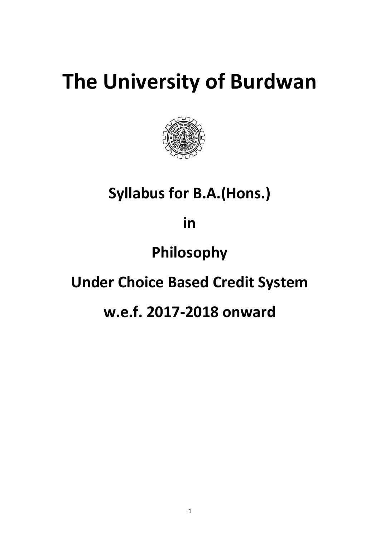# **The University of Burdwan**



## **Syllabus for B.A.(Hons.)**

**in**

## **Philosophy**

## **Under Choice Based Credit System**

## **w.e.f. 2017-2018 onward**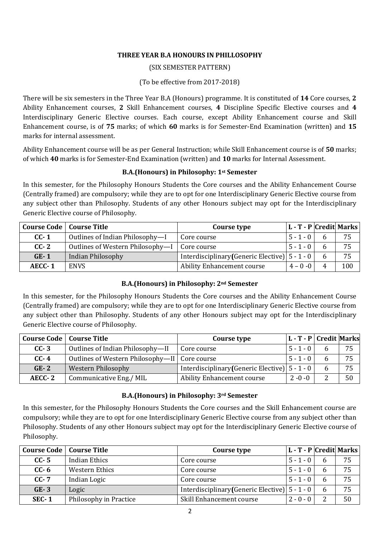## **THREE YEAR B.A HONOURS IN PHILLOSOPHY**

## (SIX SEMESTER PATTERN)

(To be effective from 2017-2018)

There will be six semesters in the Three Year B.A (Honours) programme. It is constituted of **14** Core courses, **2**  Ability Enhancement courses, **2** Skill Enhancement courses, **4** Discipline Specific Elective courses and **4**  Interdisciplinary Generic Elective courses. Each course, except Ability Enhancement course and Skill Enhancement course, is of **75** marks; of which **60** marks is for Semester-End Examination (written) and **15** marks for internal assessment.

Ability Enhancement course will be as per General Instruction; while Skill Enhancement course is of **50** marks; of which **40** marks is for Semester-End Examination (written) and **10** marks for Internal Assessment.

## **B.A.(Honours) in Philosophy: 1st Semester**

In this semester, for the Philosophy Honours Students the Core courses and the Ability Enhancement Course (Centrally framed) are compulsory; while they are to opt for one Interdisciplinary Generic Elective course from any subject other than Philosophy. Students of any other Honours subject may opt for the Interdisciplinary Generic Elective course of Philosophy.

| <b>Course Code</b>   Course Title |                                  | Course type                                        | L - T - P Credit Marks |     |
|-----------------------------------|----------------------------------|----------------------------------------------------|------------------------|-----|
| $CC-1$                            | Outlines of Indian Philosophy-I  | Core course                                        | $5 - 1 - 0$            | 75  |
| $CC-2$                            | Outlines of Western Philosophy-I | Core course                                        | $5 - 1 - 0$            | 75  |
| $GE-1$                            | Indian Philosophy                | Interdisciplinary (Generic Elective) $ 5 - 1 - 0 $ |                        | 75  |
| AECC-1                            | <b>ENVS</b>                      | <b>Ability Enhancement course</b>                  | $4 - 0 - 0$            | 100 |

## **B.A.(Honours) in Philosophy: 2nd Semester**

In this semester, for the Philosophy Honours Students the Core courses and the Ability Enhancement Course (Centrally framed) are compulsory; while they are to opt for one Interdisciplinary Generic Elective course from any subject other than Philosophy. Students of any other Honours subject may opt for the Interdisciplinary Generic Elective course of Philosophy.

| <b>Course Code</b>   Course Title |                                                 | Course type                                        | L - T - P Credit Marks |    |
|-----------------------------------|-------------------------------------------------|----------------------------------------------------|------------------------|----|
| $CC-3$                            | Outlines of Indian Philosophy-II                | Core course                                        | $5 - 1 - 0$            | 75 |
| $CC-4$                            | Outlines of Western Philosophy-II   Core course |                                                    | $5 - 1 - 0$            | 75 |
| $GE-2$                            | Western Philosophy                              | Interdisciplinary (Generic Elective) $ 5 - 1 - 0 $ |                        | 75 |
| AECC-2                            | Communicative Eng./ MIL                         | <b>Ability Enhancement course</b>                  | $2 - 0 - 0$            | 50 |

## **B.A.(Honours) in Philosophy: 3rd Semester**

In this semester, for the Philosophy Honours Students the Core courses and the Skill Enhancement course are compulsory; while they are to opt for one Interdisciplinary Generic Elective course from any subject other than Philosophy. Students of any other Honours subject may opt for the Interdisciplinary Generic Elective course of Philosophy.

| <b>Course Code</b>   Course Title |                        | Course type                                          | L - T - P   Credit   Marks |    |
|-----------------------------------|------------------------|------------------------------------------------------|----------------------------|----|
| $CC-5$                            | <b>Indian Ethics</b>   | Core course                                          | $5 - 1 - 0$                | 75 |
| $CC-6$                            | Western Ethics         | Core course                                          | $5 - 1 - 0$                | 75 |
| $CC-7$                            | Indian Logic           | Core course                                          | $5 - 1 - 0$                | 75 |
| $GE-3$                            | Logic                  | Interdisciplinary (Generic Elective) $  5 - 1 - 0  $ |                            | 75 |
| $SEC-1$                           | Philosophy in Practice | Skill Enhancement course                             | $2 - 0 - 0$                | 50 |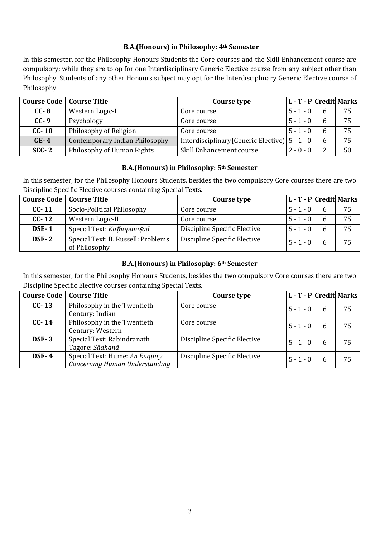## **B.A.(Honours) in Philosophy: 4th Semester**

In this semester, for the Philosophy Honours Students the Core courses and the Skill Enhancement course are compulsory; while they are to op for one Interdisciplinary Generic Elective course from any subject other than Philosophy. Students of any other Honours subject may opt for the Interdisciplinary Generic Elective course of Philosophy.

| <b>Course Code</b>   Course Title |                                       | Course type                                        | L - T - P   Credit   Marks |    |
|-----------------------------------|---------------------------------------|----------------------------------------------------|----------------------------|----|
| $CC-8$                            | Western Logic-I                       | Core course                                        | $5 - 1 - 0$                | 75 |
| $CC-9$                            | Psychology                            | Core course                                        | $5 - 1 - 0$                | 75 |
| $CC-10$                           | Philosophy of Religion                | Core course                                        | $5 - 1 - 0$                | 75 |
| $GE-4$                            | <b>Contemporary Indian Philosophy</b> | Interdisciplinary (Generic Elective) $ 5 - 1 - 0 $ |                            | 75 |
| $SEC-2$                           | Philosophy of Human Rights            | Skill Enhancement course                           | $2 - 0 - 0$                | 50 |

## **B.A.(Honours) in Philosophy: 5th Semester**

In this semester, for the Philosophy Honours Students, besides the two compulsory Core courses there are two Discipline Specific Elective courses containing Special Texts.

| <b>Course Code</b>   Course Title |                                                     | Course type                  | L - T - P Credit Marks |   |    |
|-----------------------------------|-----------------------------------------------------|------------------------------|------------------------|---|----|
| $CC - 11$                         | Socio-Political Philosophy                          | Core course                  | $5 - 1 - 0$            |   | 75 |
| $CC$ - 12                         | Western Logic-II                                    | Core course                  | $5 - 1 - 0$            | h | 75 |
| <b>DSE-1</b>                      | Special Text: Kathopanisad                          | Discipline Specific Elective | $5 - 1 - 0$            |   | 75 |
| <b>DSE-2</b>                      | Special Text: B. Russell: Problems<br>of Philosophy | Discipline Specific Elective | $5 - 1 - 0$            |   | 75 |

## **B.A.(Honours) in Philosophy: 6th Semester**

In this semester, for the Philosophy Honours Students, besides the two compulsory Core courses there are two Discipline Specific Elective courses containing Special Texts.

| <b>Course Code</b> | <b>Course Title</b>                                              | Course type                  | L - T - P  Credit  Marks |    |
|--------------------|------------------------------------------------------------------|------------------------------|--------------------------|----|
| $CC-13$            | Philosophy in the Twentieth                                      | Core course                  | $5 - 1 - 0$              | 75 |
|                    | Century: Indian                                                  |                              |                          |    |
| $CC-14$            | Philosophy in the Twentieth                                      | Core course                  | $5 - 1 - 0$              | 75 |
|                    | Century: Western                                                 |                              |                          |    |
| <b>DSE-3</b>       | Special Text: Rabindranath<br>Tagore: Sādhanā                    | Discipline Specific Elective | $5 - 1 - 0$              | 75 |
| <b>DSE-4</b>       | Special Text: Hume: An Enquiry<br>Concerning Human Understanding | Discipline Specific Elective | $5 - 1 - 0$              | 75 |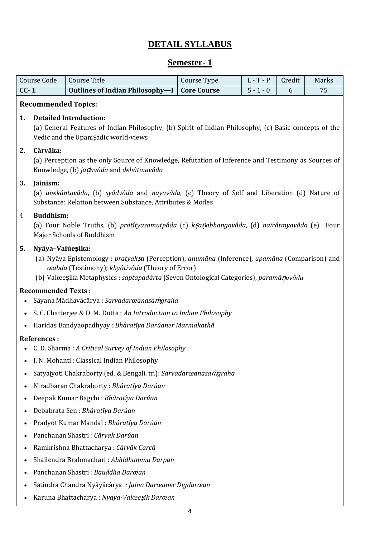## **DETAIL SYLLABUS**

## **Semester- 1**

|        | Course Code                                                                                                                                                                    | <b>Course Title</b>                                                                                                                                                                                                                        | Course Type        | $L - T - P$ | Credit | Marks |  |
|--------|--------------------------------------------------------------------------------------------------------------------------------------------------------------------------------|--------------------------------------------------------------------------------------------------------------------------------------------------------------------------------------------------------------------------------------------|--------------------|-------------|--------|-------|--|
| $CC-1$ |                                                                                                                                                                                | <b>Outlines of Indian Philosophy-I</b>                                                                                                                                                                                                     | <b>Core Course</b> | $5 - 1 - 0$ | 6      | 75    |  |
|        | <b>Recommended Topics:</b>                                                                                                                                                     |                                                                                                                                                                                                                                            |                    |             |        |       |  |
| 1.     | <b>Detailed Introduction:</b><br>(a) General Features of Indian Philosophy, (b) Spirit of Indian Philosophy, (c) Basic concepts of the<br>Vedic and the Upanisadic world-views |                                                                                                                                                                                                                                            |                    |             |        |       |  |
| 2.     | Cârvâka:                                                                                                                                                                       | (a) Perception as the only Source of Knowledge, Refutation of Inference and Testimony as Sources of<br>Knowledge, (b) ja davâda and dehâtmavâda                                                                                            |                    |             |        |       |  |
| 3.     | Jainism:                                                                                                                                                                       | (a) anekântavâda, (b) syâdvâda and nayavâda, (c) Theory of Self and Liberation (d) Nature of<br>Substance: Relation between Substance, Attributes & Modes                                                                                  |                    |             |        |       |  |
| 4.     | <b>Buddhism:</b>                                                                                                                                                               | (a) Four Noble Truths, (b) pratîtyasamutpâda (c) kșanabhangavâda, (d) nairâtmyavâda (e) Four<br>Major Schools of Buddhism                                                                                                                  |                    |             |        |       |  |
| 5.     | Nyâya-Vaiúe <b>ș</b> ika:                                                                                                                                                      | (a) Nyâya Epistemology : pratyaksa (Perception), anumâna (Inference), upamâna (Comparison) and<br>œabda (Testimony); khyâtivâda (Theory of Error)<br>(b) Vaiœeșika Metaphysics : saptapadârta (Seven Ontological Categories), paramâņuvâda |                    |             |        |       |  |
|        | <b>Recommended Texts:</b>                                                                                                                                                      |                                                                                                                                                                                                                                            |                    |             |        |       |  |
|        |                                                                                                                                                                                | Sâyana Mâdhavâcârya : Sarvadarœanasamgraha                                                                                                                                                                                                 |                    |             |        |       |  |
|        |                                                                                                                                                                                | S. C. Chatterjee & D. M. Dutta: An Introduction to Indian Philosophy                                                                                                                                                                       |                    |             |        |       |  |
|        |                                                                                                                                                                                | Haridas Bandyaopadhyay: Bhâratîya Darúaner Marmakathâ                                                                                                                                                                                      |                    |             |        |       |  |
|        | <b>References:</b>                                                                                                                                                             |                                                                                                                                                                                                                                            |                    |             |        |       |  |
|        |                                                                                                                                                                                | • C. D. Sharma: A Critical Survey of Indian Philosophy                                                                                                                                                                                     |                    |             |        |       |  |
|        |                                                                                                                                                                                | J. N. Mohanti : Classical Indian Philosophy                                                                                                                                                                                                |                    |             |        |       |  |
|        |                                                                                                                                                                                | Satyajyoti Chakraborty (ed. & Bengali. tr.): Sarvadarœanasamgraha                                                                                                                                                                          |                    |             |        |       |  |
|        |                                                                                                                                                                                | Niradbaran Chakraborty: Bhâratîya Darúan                                                                                                                                                                                                   |                    |             |        |       |  |
|        |                                                                                                                                                                                | Deepak Kumar Bagchi: Bhâratîya Darúan                                                                                                                                                                                                      |                    |             |        |       |  |
|        |                                                                                                                                                                                | Debabrata Sen: Bhâratîya Darúan                                                                                                                                                                                                            |                    |             |        |       |  |
|        |                                                                                                                                                                                | Pradyot Kumar Mandal : Bhâratîya Darúan                                                                                                                                                                                                    |                    |             |        |       |  |
|        |                                                                                                                                                                                | Panchanan Shastri : Cârvak Darúan                                                                                                                                                                                                          |                    |             |        |       |  |
|        |                                                                                                                                                                                | Ramkrishna Bhattacharya: Cârvâk Carcâ                                                                                                                                                                                                      |                    |             |        |       |  |
|        |                                                                                                                                                                                | Shailendra Brahmachari: Abhidhamma Darpan                                                                                                                                                                                                  |                    |             |        |       |  |

- Panchanan Shastri : *Bauddha Darœan*
- Satindra Chandra Nyâyâcârya *: Jaina Darœaner Digdarœan*
- Karuna Bhattacharya : *Nyaya-Vaiœe*ṣ*ik Darœan*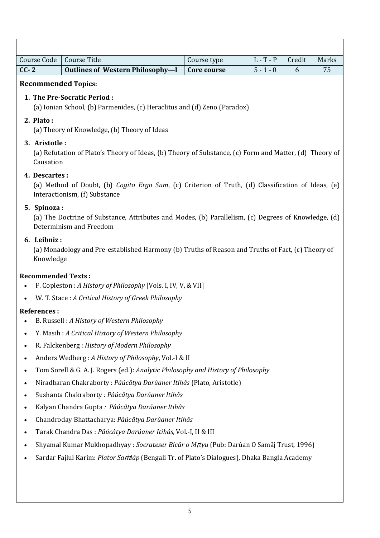| <b>Course Code</b>         | <b>Course Title</b>                                                                                                                 | Course type | $L - T - P$ | Credit | Marks |  |
|----------------------------|-------------------------------------------------------------------------------------------------------------------------------------|-------------|-------------|--------|-------|--|
| $CC-2$                     | <b>Outlines of Western Philosophy-I</b>                                                                                             | Core course | $5 - 1 - 0$ | 6      | 75    |  |
|                            | <b>Recommended Topics:</b>                                                                                                          |             |             |        |       |  |
|                            | 1. The Pre-Socratic Period:<br>(a) Ionian School, (b) Parmenides, (c) Heraclitus and (d) Zeno (Paradox)                             |             |             |        |       |  |
| 2. Plato:                  | (a) Theory of Knowledge, (b) Theory of Ideas                                                                                        |             |             |        |       |  |
| 3. Aristotle:<br>Causation | (a) Refutation of Plato's Theory of Ideas, (b) Theory of Substance, (c) Form and Matter, (d) Theory of                              |             |             |        |       |  |
| 4. Descartes:              | (a) Method of Doubt, (b) Cogito Ergo Sum, (c) Criterion of Truth, (d) Classification of Ideas, (e)<br>Interactionism, (f) Substance |             |             |        |       |  |
| 5. Spinoza:                | (a) The Doctrine of Substance, Attributes and Modes, (b) Parallelism, (c) Degrees of Knowledge, (d)<br>Determinism and Freedom      |             |             |        |       |  |
| 6. Leibniz:<br>Knowledge   | (a) Monadology and Pre-established Harmony (b) Truths of Reason and Truths of Fact, (c) Theory of                                   |             |             |        |       |  |
| <b>Recommended Texts:</b>  |                                                                                                                                     |             |             |        |       |  |
| $\bullet$                  | F. Copleston : A History of Philosophy [Vols. I, IV, V, & VII]                                                                      |             |             |        |       |  |
|                            | W. T. Stace: A Critical History of Greek Philosophy                                                                                 |             |             |        |       |  |
| <b>References:</b>         |                                                                                                                                     |             |             |        |       |  |
|                            | B. Russell: A History of Western Philosophy                                                                                         |             |             |        |       |  |
|                            | Y. Masih: A Critical History of Western Philosophy                                                                                  |             |             |        |       |  |
| ٠                          | R. Falckenberg: History of Modern Philosophy                                                                                        |             |             |        |       |  |
| $\bullet$                  | Anders Wedberg: A History of Philosophy, Vol.-I & II                                                                                |             |             |        |       |  |
| ٠                          | Tom Sorell & G. A. J. Rogers (ed.): Analytic Philosophy and History of Philosophy                                                   |             |             |        |       |  |
| $\bullet$                  | Niradbaran Chakraborty: Pâúcâtya Darúaner Itihâs (Plato, Aristotle)                                                                 |             |             |        |       |  |
| $\bullet$                  | Sushanta Chakraborty : Pâúcâtya Darúaner Itihâs                                                                                     |             |             |        |       |  |
| $\bullet$                  | Kalyan Chandra Gupta: Pâúcâtya Darúaner Itihâs                                                                                      |             |             |        |       |  |
| $\bullet$                  | Chandroday Bhattacharya: Pâúcâtya Darúaner Itihâs                                                                                   |             |             |        |       |  |
| $\bullet$                  | Tarak Chandra Das: Pâúcâtya Darúaner Itihâs, Vol.-I, II & III                                                                       |             |             |        |       |  |
| $\bullet$                  | Shyamal Kumar Mukhopadhyay : Socrateser Bicâr o Mrtyu (Pub: Darúan O Samâj Trust, 1996)                                             |             |             |        |       |  |
| ٠                          | Sardar Fajlul Karim: Plator Samlâp (Bengali Tr. of Plato's Dialogues), Dhaka Bangla Academy                                         |             |             |        |       |  |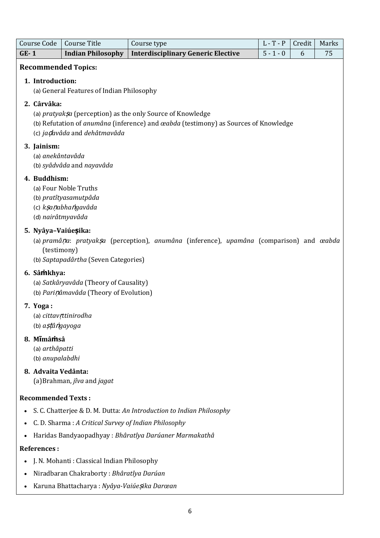|        | <b>Course Code</b>                              | <b>Course Title</b>                                                              | Course type                                                                                                                                                     | $L - T - P$ | Credit | Marks |
|--------|-------------------------------------------------|----------------------------------------------------------------------------------|-----------------------------------------------------------------------------------------------------------------------------------------------------------------|-------------|--------|-------|
| $GE-1$ |                                                 | <b>Indian Philosophy</b>                                                         | <b>Interdisciplinary Generic Elective</b>                                                                                                                       | $5 - 1 - 0$ | 6      | 75    |
|        | 1. Introduction:                                | <b>Recommended Topics:</b><br>(a) General Features of Indian Philosophy          |                                                                                                                                                                 |             |        |       |
|        | 2. Cârvâka:                                     |                                                                                  |                                                                                                                                                                 |             |        |       |
|        |                                                 | (c) ja davâda and dehâtmavâda                                                    | (a) pratyaksa (perception) as the only Source of Knowledge<br>(b) Refutation of <i>anumâna</i> (inference) and <i>œabda</i> (testimony) as Sources of Knowledge |             |        |       |
|        | 3. Jainism:<br>(a) anekântavâda                 | (b) syâdvâda and nayavâda                                                        |                                                                                                                                                                 |             |        |       |
|        | 4. Buddhism:<br>(d) nairâtmyavâda               | (a) Four Noble Truths<br>(b) pratîtyasamutpâda<br>(c) ksanabhangavâda            |                                                                                                                                                                 |             |        |       |
|        | 5. Nyâya-Vaiúesika:<br>(testimony)              | (b) Saptapadârtha (Seven Categories)                                             | (a) pramâna: pratyaksa (perception), anumâna (inference), upamâna (comparison) and œabda                                                                        |             |        |       |
|        | 6. Sâmkhya:                                     | (a) Satkâryavâda (Theory of Causality)<br>(b) Parinâmavâda (Theory of Evolution) |                                                                                                                                                                 |             |        |       |
|        | 7. Yoga:<br>(b) a stâ ngayoga                   | (a) cittav!ttinirodha                                                            |                                                                                                                                                                 |             |        |       |
|        | 8. Mimâmsâ<br>(a) arthâpatti<br>(b) anupalabdhi |                                                                                  |                                                                                                                                                                 |             |        |       |
|        | 8. Advaita Vedânta:                             | (a) Brahman, jîva and jagat                                                      |                                                                                                                                                                 |             |        |       |
|        | <b>Recommended Texts:</b>                       |                                                                                  |                                                                                                                                                                 |             |        |       |
|        |                                                 |                                                                                  | S. C. Chatterjee & D. M. Dutta: An Introduction to Indian Philosophy                                                                                            |             |        |       |
|        |                                                 | C. D. Sharma: A Critical Survey of Indian Philosophy                             |                                                                                                                                                                 |             |        |       |
|        |                                                 |                                                                                  | Haridas Bandyaopadhyay: Bhâratîya Darúaner Marmakathâ                                                                                                           |             |        |       |
|        | <b>References:</b>                              |                                                                                  |                                                                                                                                                                 |             |        |       |
|        |                                                 | J. N. Mohanti: Classical Indian Philosophy                                       |                                                                                                                                                                 |             |        |       |
|        |                                                 | Niradbaran Chakraborty: Bhâratîya Darúan                                         |                                                                                                                                                                 |             |        |       |
|        |                                                 | Karuna Bhattacharya: Nyâya-Vaiúe, sika Darœan                                    |                                                                                                                                                                 |             |        |       |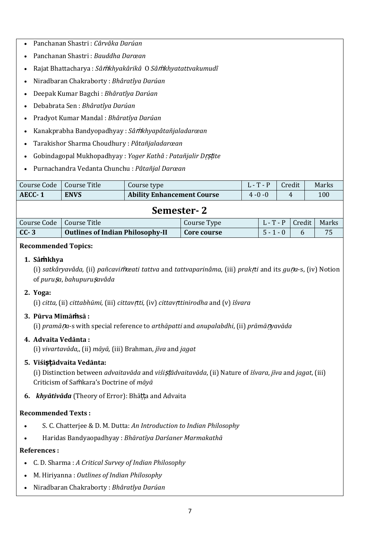- Panchanan Shastri : *Cârvâka Darúan*
- Panchanan Shastri : *Bauddha Darœan*
- Rajat Bhattacharya : *Sâ*ṁ*khyakârikâ* O *Sâ*ṁ*khyatattvakumudî*
- Niradbaran Chakraborty : *Bhâratîya Darúan*
- Deepak Kumar Bagchi : *Bhâratîya Darúan*
- Debabrata Sen : *Bhâratîya Darúan*
- Pradyot Kumar Mandal : *Bhâratîya Darúan*
- Kanakprabha Bandyopadhyay : *Sâ*ṁ*khyapâtañjaladarœan*
- Tarakishor Sharma Choudhury : *Pâtañjaladarœan*
- Gobindagopal Mukhopadhyay : *Yoger Kathâ : Patañjalir D*ṛṣṭ*ite*
- Purnachandra Vedanta Chunchu : *Pâtañjal Darœan*

| Course Code                                | Course Title                            | Course type                       |             |             | $L - T - P$ |   | Credit | Marks |
|--------------------------------------------|-----------------------------------------|-----------------------------------|-------------|-------------|-------------|---|--------|-------|
| AECC-1                                     | <b>ENVS</b>                             | <b>Ability Enhancement Course</b> |             | $4 - 0 - 0$ |             | 4 |        | 100   |
| Semester-2                                 |                                         |                                   |             |             |             |   |        |       |
| Course Code<br>Course Title<br>Course Type |                                         |                                   |             |             | $L - T - P$ |   | Credit | Marks |
| $CC-3$                                     | <b>Outlines of Indian Philosophy-II</b> |                                   | Core course |             | $5 - 1 - 0$ |   | 6      | 75    |

#### **Recommended Topics:**

#### **1. Sâṁkhya**

(i) *satkâryavâda,* (ii) *pañcavi*ṁ*œati tattva* and *tattvaparinâma*, (iii) *prak*ṛ*ti* and its *gu*ṇ*a*-s, (iv) Notion of *puru*ṣ*a*, *bahupuru*ṣ*avâda*

## **2. Yoga:**

(i) *citta,* (ii) *cittabhūmi,* (iii) *cittav*ṛ*tti,* (iv) *cittav*ṛ*ttinirodha* and (v) *īśvara*

## **3. Pūrva Mīmāṁsā :**

(i) *pramā*ṇ*a*-s with special reference to *arthāpatti* and *anupalabdhi*, (ii) *prāmā*ṇ*yavāda*

## **4. Advaita Vedānta :**

(i) *vivartavāda,*, (ii) *māyā,* (iii) Brahman, *jīva* and *jagat*

## **5. Viśiṣṭādvaita Vedānta:**

(i) Distinction between *advaitavāda* and *viśi*ṣṭ*ādvaitavāda*, (ii) Nature of *īśvara*, *jīva* and *jagat*, (iii) Criticism of Saṁkara's Doctrine of *māyā*

## **6.** *khyātivāda* (Theory of Error): Bhāṭṭa and Advaita

## **Recommended Texts :**

- S. C. Chatterjee & D. M. Dutta: *An Introduction to Indian Philosophy*
- Haridas Bandyaopadhyay : *Bhāratīya Darśaner Marmakathā*

## **References :**

- C. D. Sharma : *A Critical Survey of Indian Philosophy*
- M. Hiriyanna : *Outlines of Indian Philosophy*
- Niradbaran Chakraborty : *Bhâratîya Darúan*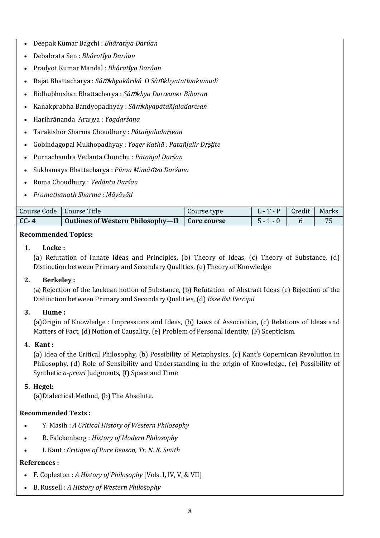- Deepak Kumar Bagchi : *Bhâratîya Darúan*
- Debabrata Sen : *Bhâratîya Darúan*
- Pradyot Kumar Mandal : *Bhâratîya Darúan*
- Rajat Bhattacharya : *Sâ*ṁ*khyakârikâ* O *Sâ*ṁ*khyatattvakumudî*
- Bidhubhushan Bhattacharya : *Sâ*ṁ*khya Darœaner Bibaran*
- Kanakprabha Bandyopadhyay : *Sâ*ṁ*khyapâtañjaladarœan*
- Harihrānanda Āraṇya : *Yogdarśana*
- Tarakishor Sharma Choudhury : *Pâtañjaladarœan*
- Gobindagopal Mukhopadhyay : *Yoger Kathâ : Patañjalir D*ṛṣṭ*ite*
- Purnachandra Vedanta Chunchu : *Pātañjal Darśan*
- Sukhamaya Bhattacharya : *Pūrva Mīmā*ṁ*sa Darśana*
- Roma Choudhury : *Vedānta Darśan*
- *Pramathanath Sharma : Māyāvād*

| Course Code   Course Title |                                                 | Course type | L-T-P   Credit   Marks |           |
|----------------------------|-------------------------------------------------|-------------|------------------------|-----------|
| $CC-4$                     | Outlines of Western Philosophy—II   Core course |             | $5 - 1 - 0$            | <b>75</b> |

## **Recommended Topics:**

## **1. Locke :**

(a) Refutation of Innate Ideas and Principles, (b) Theory of Ideas, (c) Theory of Substance, (d) Distinction between Primary and Secondary Qualities, (e) Theory of Knowledge

## **2. Berkeley :**

(a) Rejection of the Lockean notion of Substance, (b) Refutation of Abstract Ideas (c) Rejection of the Distinction between Primary and Secondary Qualities, (d) *Esse Est Percipii*

## **3. Hume :**

(a)Origin of Knowledge : Impressions and Ideas, (b) Laws of Association, (c) Relations of Ideas and Matters of Fact, (d) Notion of Causality, (e) Problem of Personal Identity, (F) Scepticism.

## **4. Kant :**

(a) Idea of the Critical Philosophy, (b) Possibility of Metaphysics, (c) Kant's Copernican Revolution in Philosophy, (d) Role of Sensibility and Understanding in the origin of Knowledge, (e) Possibility of Synthetic *a-priori* Judgments, (f) Space and Time

## **5. Hegel:**

(a)Dialectical Method, (b) The Absolute.

## **Recommended Texts :**

- Y. Masih : *A Critical History of Western Philosophy*
- R. Falckenberg : *History of Modern Philosophy*
- I. Kant : *Critique of Pure Reason, Tr. N. K. Smith*

## **References :**

- F. Copleston : *A History of Philosophy* [Vols. I, IV, V, & VII]
- B. Russell : *A History of Western Philosophy*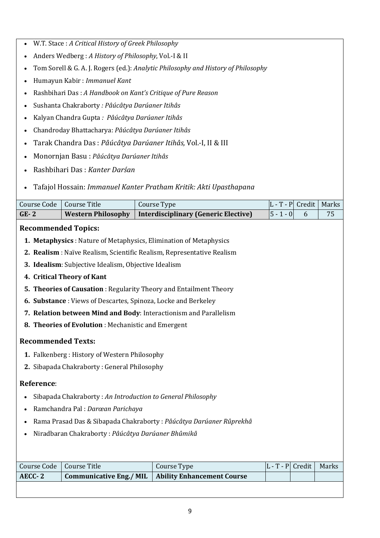- W.T. Stace : *A Critical History of Greek Philosophy*
- Anders Wedberg : *A History of Philosophy*, Vol.-I & II
- Tom Sorell & G. A. J. Rogers (ed.): *Analytic Philosophy and History of Philosophy*
- Humayun Kabir : *Immanuel Kant*
- Rashbihari Das : *A Handbook on Kant's Critique of Pure Reason*
- Sushanta Chakraborty *: Pâúcâtya Darúaner Itihâs*
- Kalyan Chandra Gupta *: Pâúcâtya Darúaner Itihâs*
- Chandroday Bhattacharya: *Pâúcâtya Darúaner Itihâs*
- Tarak Chandra Das : *Pâúcâtya Darúaner Itihâs,* Vol.-I, II & III
- Monornjan Basu : *Pâúcâtya Darúaner Itihâs*
- Rashbihari Das : *Kanter Darśan*
- Tafajol Hossain: *Immanuel Kanter Pratham Kritik: Akti Upasthapana*

| Course Code<br>Course Title<br>Course Type                                         | $ L - T - P $ Credit |   | Marks |  |  |  |
|------------------------------------------------------------------------------------|----------------------|---|-------|--|--|--|
| <b>Western Philosophy</b><br><b>Interdisciplinary (Generic Elective)</b><br>$GE-2$ | $ 5 - 1 - 0 $        | 6 | 75    |  |  |  |
| <b>Recommended Topics:</b>                                                         |                      |   |       |  |  |  |
| <b>Metaphysics</b> : Nature of Metaphysics, Elimination of Metaphysics<br>1.       |                      |   |       |  |  |  |
| 2. Realism : Naïve Realism, Scientific Realism, Representative Realism             |                      |   |       |  |  |  |
| 3. Idealism: Subjective Idealism, Objective Idealism                               |                      |   |       |  |  |  |

- **4. Critical Theory of Kant**
- **5. Theories of Causation** : Regularity Theory and Entailment Theory
- **6. Substance** : Views of Descartes, Spinoza, Locke and Berkeley
- **7. Relation between Mind and Body**: Interactionism and Parallelism
- **8. Theories of Evolution** : Mechanistic and Emergent

## **Recommended Texts:**

- **1.** Falkenberg : History of Western Philosophy
- **2.** Sibapada Chakraborty : General Philosophy

## **Reference**:

- Sibapada Chakraborty : *An Introduction to General Philosophy*
- Ramchandra Pal : *Darœan Parichaya*
- Rama Prasad Das & Sibapada Chakraborty : *Pâúcâtya Darúaner Rûprekhâ*
- Niradbaran Chakraborty : *Pâúcâtya Darúaner Bhûmikâ*

| Course Code   Course Title | Course Type                                          |  | $ L - T - P $ Credit   Marks |
|----------------------------|------------------------------------------------------|--|------------------------------|
| AECC-2                     | Communicative Eng./ MIL   Ability Enhancement Course |  |                              |
|                            |                                                      |  |                              |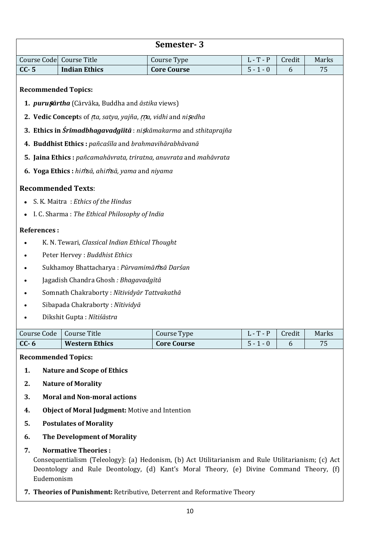|                                          |                                                                                               | Semester-3                                                                                           |             |        |       |  |  |
|------------------------------------------|-----------------------------------------------------------------------------------------------|------------------------------------------------------------------------------------------------------|-------------|--------|-------|--|--|
|                                          | Course Code Course Title                                                                      | Course Type                                                                                          | $L - T - P$ | Credit | Marks |  |  |
| $CC - 5$                                 | <b>Indian Ethics</b>                                                                          | <b>Core Course</b>                                                                                   | $5 - 1 - 0$ | 6      | 75    |  |  |
|                                          | <b>Recommended Topics:</b><br>1. <i>puru șārtha</i> (Cārvāka, Buddha and <i>āstika</i> views) |                                                                                                      |             |        |       |  |  |
|                                          | 2. Vedic Concepts of <i>Ita, satya, yajña, rna, vidhi</i> and nisedha                         |                                                                                                      |             |        |       |  |  |
|                                          | 3. Ethics in Śrīmadbhagavadgīitā : niskāmakarma and sthitaprajña                              |                                                                                                      |             |        |       |  |  |
|                                          | 4. Buddhist Ethics: pañcaśīla and brahmavihārabhāvanā                                         |                                                                                                      |             |        |       |  |  |
|                                          | 5. Jaina Ethics : pañcamahāvrata, triratna, anuvrata and mahāvrata                            |                                                                                                      |             |        |       |  |  |
|                                          | 6. Yoga Ethics: himsā, ahimsā, yama and niyama                                                |                                                                                                      |             |        |       |  |  |
|                                          |                                                                                               |                                                                                                      |             |        |       |  |  |
|                                          | <b>Recommended Texts:</b>                                                                     |                                                                                                      |             |        |       |  |  |
|                                          | S. K. Maitra: Ethics of the Hindus                                                            |                                                                                                      |             |        |       |  |  |
|                                          | I. C. Sharma: The Ethical Philosophy of India                                                 |                                                                                                      |             |        |       |  |  |
| <b>References:</b>                       |                                                                                               |                                                                                                      |             |        |       |  |  |
|                                          | K. N. Tewari, Classical Indian Ethical Thought                                                |                                                                                                      |             |        |       |  |  |
|                                          | Peter Hervey : Buddhist Ethics                                                                |                                                                                                      |             |        |       |  |  |
|                                          | Sukhamoy Bhattacharya: Pūrvamimāmsā Darśan                                                    |                                                                                                      |             |        |       |  |  |
|                                          | Jagadish Chandra Ghosh : Bhagavadgītā                                                         |                                                                                                      |             |        |       |  |  |
|                                          | Somnath Chakraborty: Nītividyār Tattvakathā                                                   |                                                                                                      |             |        |       |  |  |
|                                          | Sibapada Chakraborty: Nītividyā                                                               |                                                                                                      |             |        |       |  |  |
|                                          | Dikshit Gupta: Nītiśāstra                                                                     |                                                                                                      |             |        |       |  |  |
| Course Code                              | <b>Course Title</b>                                                                           | Course Type                                                                                          | $L - T - P$ | Credit | Marks |  |  |
| $CC - 6$                                 | <b>Western Ethics</b>                                                                         | <b>Core Course</b>                                                                                   | $5 - 1 - 0$ | 6      | 75    |  |  |
|                                          | <b>Recommended Topics:</b>                                                                    |                                                                                                      |             |        |       |  |  |
| 1.                                       | <b>Nature and Scope of Ethics</b>                                                             |                                                                                                      |             |        |       |  |  |
| 2.                                       | <b>Nature of Morality</b>                                                                     |                                                                                                      |             |        |       |  |  |
| <b>Moral and Non-moral actions</b><br>3. |                                                                                               |                                                                                                      |             |        |       |  |  |
| 4.                                       | Object of Moral Judgment: Motive and Intention                                                |                                                                                                      |             |        |       |  |  |
| 5.                                       | <b>Postulates of Morality</b>                                                                 |                                                                                                      |             |        |       |  |  |
| 6.                                       | The Development of Morality                                                                   |                                                                                                      |             |        |       |  |  |
| 7.                                       | <b>Normative Theories:</b>                                                                    | Consequentialism (Teleology): (a) Hedonism (b) Act Iltilitarianism and Rule Iltilitarianism: (c) Act |             |        |       |  |  |

Consequentialism (Teleology): (a) Hedonism, (b) Act Utilitarianism and Rule Utilitarianism; (c) Act Deontology and Rule Deontology, (d) Kant's Moral Theory, (e) Divine Command Theory, (f) Eudemonism

**7. Theories of Punishment:** Retributive, Deterrent and Reformative Theory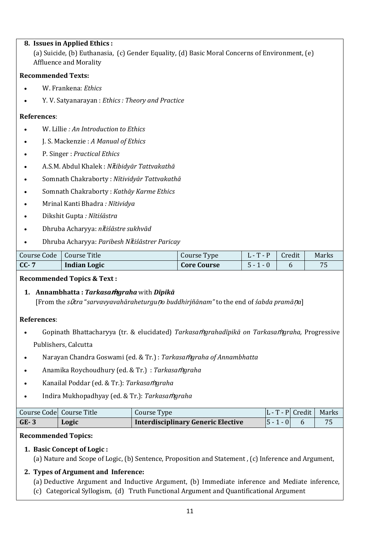## **8. Issues in Applied Ethics :**  (a) Suicide, (b) Euthanasia, (c) Gender Equality, (d) Basic Moral Concerns of Environment, (e) Affluence and Morality

## **Recommended Texts:**

- W. Frankena: *Ethics*
- Y. V. Satyanarayan : *Ethics : Theory and Practice*

## **References**:

- W. Lillie *: An Introduction to Ethics*
- J. S. Mackenzie : *A Manual of Ethics*
- P. Singer : *Practical Ethics*
- A.S.M. Abdul Khalek : *N*ῑ*tibidyār Tattvakathā*
- Somnath Chakraborty : *Nītividyār Tattvakathā*
- Somnath Chakraborty : *Kathāy Karme Ethics*
- Mrinal Kanti Bhadra *: Nītividya*
- Dikshit Gupta *: Nītiśāstra*
- Dhruba Acharyya: *n*ῑ*tiśāstre sukhvād*
- Dhruba Acharyya: *Paribesh N*ῑ*tiśāstrer Paricay*

| Course Code   Course Title |                     | Course Type        | $\mathbf{r}$ | Credit | Marks |
|----------------------------|---------------------|--------------------|--------------|--------|-------|
| $CC-7$                     | <b>Indian Logic</b> | <b>Core Course</b> | 5-           |        | 7 E   |

## **Recommended Topics & Text :**

## **1. Annambhatta :** *Tarkasa***ṁ***graha* with *Dīpikā*  [From the *s*ῡ*tra* "*sarvavyavahāraheturgu*ṇ*o buddhirjñānam"* to the end of *śabda pramā*ṇ*a*]

## **References**:

- Gopinath Bhattacharyya (tr. & elucidated) *Tarkasa*ṁ*grahadīpikā on Tarkasa*ṁ*graha,* Progressive Publishers, Calcutta
- Narayan Chandra Goswami (ed. & Tr.) : *Tarkasa*ṁ*graha of Annambhatta*
- Anamika Roychoudhury (ed. & Tr.) : *Tarkasa*ṁ*graha*
- Kanailal Poddar (ed. & Tr.): *Tarkasa*ṁ*graha*
- Indira Mukhopadhyay (ed. & Tr.): *Tarkasa*ṁ*graha*

|        | Course Code Course Title | Course Type                        | $ L - T - P $ Credit   Marks |  |
|--------|--------------------------|------------------------------------|------------------------------|--|
| $GE-3$ | Logic                    | Interdisciplinary Generic Elective | $ 5 - 1 - 0 $                |  |

## **Recommended Topics:**

## **1. Basic Concept of Logic :**

(a) Nature and Scope of Logic, (b) Sentence, Proposition and Statement , (c) Inference and Argument,

## **2. Types of Argument and Inference:**

- (a) Deductive Argument and Inductive Argument, (b) Immediate inference and Mediate inference,
- (c) Categorical Syllogism, (d) Truth Functional Argument and Quantificational Argument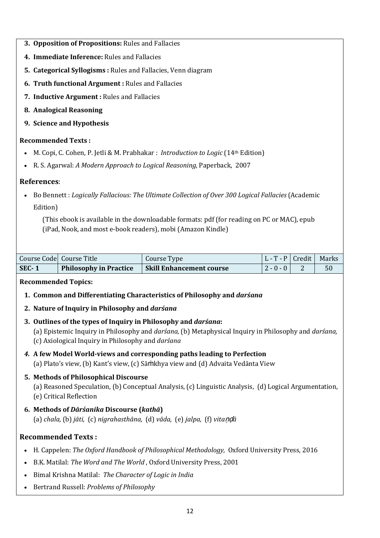- **3. Opposition of Propositions:** Rules and Fallacies
- **4. Immediate Inference:** Rules and Fallacies
- **5. Categorical Syllogisms :** Rules and Fallacies, Venn diagram
- **6. Truth functional Argument :** Rules and Fallacies
- **7. Inductive Argument :** Rules and Fallacies
- **8. Analogical Reasoning**
- **9. Science and Hypothesis**

## **Recommended Texts :**

- M. Copi, C. Cohen, P. Jetli & M. Prabhakar : *Introduction to Logic* (14th Edition)
- [R. S. Agarwal:](http://www.amazon.in/s/ref=dp_byline_sr_book_1?ie=UTF8&field-author=R.S.+Aggarwal&search-alias=stripbooks) *A Modern Approach to Logical Reasoning,* Paperback, 2007

## **References**:

• Bo Bennett : *Logically Fallacious: The Ultimate Collection of Over 300 Logical Fallacies* (Academic Edition)

 (This ebook is available in the downloadable formats: pdf (for reading on PC or MAC), epub (iPad, Nook, and most e-book readers), mobi (Amazon Kindle)

|         | Course Code Course Title      | Course Type                     | $ L - T - P $ Credit   Marks |    |
|---------|-------------------------------|---------------------------------|------------------------------|----|
| $SEC-1$ | <b>Philosophy in Practice</b> | <b>Skill Enhancement course</b> | $2 - 0 - 0$                  | 50 |

## **Recommended Topics:**

- **1. Common and Differentiating Characteristics of Philosophy and** *darśana*
- **2. Nature of Inquiry in Philosophy and** *darśana*
- **3. Outlines of the types of Inquiry in Philosophy and** *darśana***:**
	- (a) Epistemic Inquiry in Philosophy and *darśana,* (b) Metaphysical Inquiry in Philosophy and *darśana,*  (c) Axiological Inquiry in Philosophy and *darśana*
- *4.* **A few Model World-views and corresponding paths leading to Perfection** (a) Plato's view, (b) Kant's view, (c) Sāṁkhya view and (d) Advaita Vedānta View

## **5. Methods of Philosophical Discourse**

(a) Reasoned Speculation, (b) Conceptual Analysis, (c) Linguistic Analysis, (d) Logical Argumentation, (e) Critical Reflection

**6. Methods of** *Dārśanika* **Discourse (***kathā***)**

(a) *chala,* (b) *jāti,* (c) *nigrahasthāna,* (d) *vāda,* (e) *jalpa,* (f) *vita*ṇḍ*ā*

## **Recommended Texts :**

- H. Cappelen: *The Oxford Handbook of Philosophical Methodology,* Oxford University Press, 2016
- B.K. Matilal: *The Word and The World* , Oxford University Press, 2001
- Bimal Krishna Matilal: *The Character of Logic in India*
- Bertrand Russell: *Problems of Philosophy*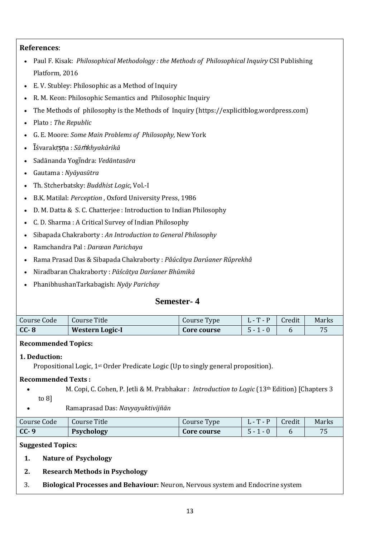## **References**:

- Paul F. Kisak: *Philosophical Methodology : the Methods of Philosophical Inquiry* CSI Publishing Platform, 2016
- E. V. Stubley: Philosophic as a Method of Inquiry
- R. M. Keon: Philosophic Semantics and Philosophic Inquiry
- The Methods of philosophy is the Methods of Inquiry [\(https://explicitblog.wordpress.com\)](https://explicitblog.wordpress.com/)
- Plato : *The Republic*
- G. E. Moore: *Some Main Problems of Philosophy,* New York
- Ῑśvarakṛṣṇa : *Sā*ṁ*khyakārikā*
- Sadānanda Yogῑndra: *Vedāntasāra*
- Gautama : *Nyāyasūtra*
- Th. Stcherbatsky: *Buddhist Logic,* Vol.-I
- B.K. Matilal: *Perception* , Oxford University Press, 1986
- D. M. Datta & S. C. Chatterjee : Introduction to Indian Philosophy
- C. D. Sharma : A Critical Survey of Indian Philosophy
- Sibapada Chakraborty : *An Introduction to General Philosophy*
- Ramchandra Pal : *Darœan Parichaya*
- Rama Prasad Das & Sibapada Chakraborty : *Pâúcâtya Darúaner Rûprekhâ*
- Niradbaran Chakraborty : *Pāścātya Darśaner Bhūmikā*
- PhanibhushanTarkabagish: *Nyāy Parichay*

## **Semester- 4**

| Course Code | Course Title           | Course Type | $\mathbf{r}$<br>1. – 1. – | Credit | Marks |
|-------------|------------------------|-------------|---------------------------|--------|-------|
| $CC-8$      | <b>Western Logic-I</b> | Core course | 5 -                       |        |       |

## **Recommended Topics:**

## **1. Deduction:**

Propositional Logic, 1st Order Predicate Logic (Up to singly general proposition).

## **Recommended Texts :**

- M. Copi, C. Cohen, P. Jetli & M. Prabhakar : *Introduction to Logic* (13th Edition) [Chapters 3 to 8]
- Ramaprasad Das: *Navyayuktivijñān*

| Course Code | Course Title      | Course Type | $\mathbf{r}$ | Credit | Marks |
|-------------|-------------------|-------------|--------------|--------|-------|
| $CC-9$      | <b>Psychology</b> | Core course | - ר          |        | 75    |

## **Suggested Topics:**

- **1. Nature of Psychology**
- **2. Research Methods in Psychology**
- 3. **Biological Processes and Behaviour:** Neuron, Nervous system and Endocrine system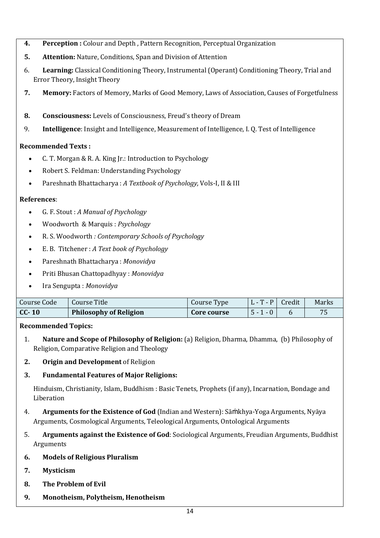- **4. Perception :** Colour and Depth , Pattern Recognition, Perceptual Organization
- **5. Attention:** Nature, Conditions, Span and Division of Attention
- 6. **Learning:** Classical Conditioning Theory, Instrumental (Operant) Conditioning Theory, Trial and Error Theory, Insight Theory
- **7. Memory:** Factors of Memory, Marks of Good Memory, Laws of Association, Causes of Forgetfulness
- **8. Consciousness:** Levels of Consciousness, Freud's theory of Dream
- 9. **Intelligence**: Insight and Intelligence, Measurement of Intelligence, I. Q. Test of Intelligence

## **Recommended Texts :**

- C. T. Morgan & R. A. King Jr.: Introduction to Psychology
- Robert S. Feldman: Understanding Psychology
- Pareshnath Bhattacharya : *A Textbook of Psychology,* Vols-I, II & III

## **References**:

- G. F. Stout : *A Manual of Psychology*
- Woodworth & Marquis : *Psychology*
- R. S. Woodworth *: Contemporary Schools of Psychology*
- E. B. Titchener : *A Text book of Psychology*
- Pareshnath Bhattacharya : *Monovidya*
- Priti Bhusan Chattopadhyay : *Monovidya*
- Ira Sengupta : *Monovidya*

| Course Code | Course Title                  | Course Type | $\mathbf{r}$<br>$-$ P | Credit | Marks |
|-------------|-------------------------------|-------------|-----------------------|--------|-------|
| $CC-10$     | <b>Philosophy of Religion</b> | Core course | $\sim$ -<br>- U       |        |       |

## **Recommended Topics:**

- 1. **Nature and Scope of Philosophy of Religion:** (a) Religion, Dharma, Dhamma, (b) Philosophy of Religion, Comparative Religion and Theology
- **2. Origin and Development** of Religion
- **3. Fundamental Features of Major Religions:**

Hinduism, Christianity, Islam, Buddhism : Basic Tenets, Prophets (if any), Incarnation, Bondage and Liberation

- 4. **Arguments for the Existence of God** (Indian and Western): Sāṁkhya-Yoga Arguments, Nyāya Arguments, Cosmological Arguments, Teleological Arguments, Ontological Arguments
- 5. **Arguments against the Existence of God**: Sociological Arguments, Freudian Arguments, Buddhist Arguments
- **6. Models of Religious Pluralism**
- **7. Mysticism**
- **8. The Problem of Evil**
- **9. Monotheism, Polytheism, Henotheism**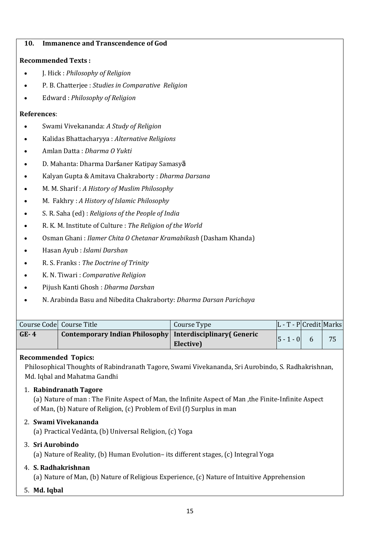## **10. Immanence and Transcendence of God**

## **Recommended Texts :**

- J. Hick : *Philosophy of Religion*
- P. B. Chatterjee : *Studies in Comparative Religion*
- Edward : *Philosophy of Religion*

## **References**:

- Swami Vivekananda: *A Study of Religion*
- Kalidas Bhattacharyya : *Alternative Religions*
- Amlan Datta : *Dharma O Yukti*
- D. Mahanta: Dharma Darśaner Katipay Samasyā
- Kalyan Gupta & Amitava Chakraborty : *Dharma Darsana*
- M. M. Sharif : *A History of Muslim Philosophy*
- M. Fakhry : *A History of Islamic Philosophy*
- S. R. Saha (ed) : *Religions of the People of India*
- R. K. M. Institute of Culture : *The Religion of the World*
- Osman Ghani : *Ilamer Chita O Chetanar Kramabikash* (Dasham Khanda)
- Hasan Ayub : *Islami Darshan*
- R. S. Franks : *The Doctrine of Trinity*
- K. N. Tiwari : *Comparative Religion*
- Pijush Kanti Ghosh : *Dharma Darshan*
- N. Arabinda Basu and Nibedita Chakraborty: *Dharma Darsan Parichaya*

|        | Course Code Course Title                                    | Course Type | $ L - T - P $ Credit Marks |    |
|--------|-------------------------------------------------------------|-------------|----------------------------|----|
| $GE-4$ | Contemporary Indian Philosophy   Interdisciplinary (Generic | Elective)   | $ 5 - 1 - 0 $              | 75 |

## **Recommended Topics:**

Philosophical Thoughts of Rabindranath Tagore, Swami Vivekananda, Sri Aurobindo, S. Radhakrishnan, Md. Iqbal and Mahatma Gandhi

## 1. **Rabindranath Tagore**

(a) Nature of man : The Finite Aspect of Man, the Infinite Aspect of Man ,the Finite-Infinite Aspect of Man, (b) Nature of Religion, (c) Problem of Evil (f) Surplus in man

## 2. **Swami Vivekananda**

(a) Practical Vedānta, (b) Universal Religion, (c) Yoga

## 3. **Sri Aurobindo**

(a) Nature of Reality, (b) Human Evolution– its different stages, (c) Integral Yoga

## 4. **S. Radhakrishnan**

(a) Nature of Man, (b) Nature of Religious Experience, (c) Nature of Intuitive Apprehension

5. **Md. Iqbal**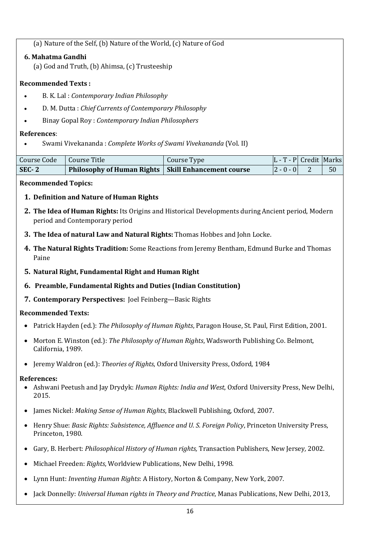(a) Nature of the Self, (b) Nature of the World, (c) Nature of God

**6..Mahatma Gandhi**

(a) God and Truth, (b) Ahimsa, (c) Trusteeship

## **Recommended Texts :**

- B. K. Lal : *Contemporary Indian Philosophy*
- D. M. Dutta : *Chief Currents of Contemporary Philosophy*
- Binay Gopal Roy : *Contemporary Indian Philosophers*

## **References**:

• Swami Vivekananda : *Complete Works of Swami Vivekananda* (Vol. II)

| Course Code   Course Title |                                                       | Course Type | $ L - T - P $ Credit Marks |    |
|----------------------------|-------------------------------------------------------|-------------|----------------------------|----|
| $SEC-2$                    | Philosophy of Human Rights   Skill Enhancement course |             | $ 2 - 0 - 0 $              | 50 |

## **Recommended Topics:**

- **1. Definition and Nature of Human Rights**
- **2. The Idea of Human Rights:** Its Origins and Historical Developments during Ancient period, Modern period and Contemporary period
- **3. The Idea of natural Law and Natural Rights:** Thomas Hobbes and John Locke.
- **4. The Natural Rights Tradition:** Some Reactions from Jeremy Bentham, Edmund Burke and Thomas Paine
- **5. Natural Right, Fundamental Right and Human Right**
- **6. Preamble, Fundamental Rights and Duties (Indian Constitution)**
- **7. Contemporary Perspectives:** Joel Feinberg—Basic Rights

## **Recommended Texts:**

- Patrick Hayden (ed.): *The Philosophy of Human Rights*, Paragon House, St. Paul, First Edition, 2001.
- Morton E. Winston (ed.): *The Philosophy of Human Rights*, Wadsworth Publishing Co. Belmont, California, 1989.
- Jeremy Waldron (ed.): *Theories of Rights*, Oxford University Press, Oxford, 1984

## **References:**

- Ashwani Peetush and Jay Drydyk: *Human Rights: India and West*, Oxford University Press, New Delhi, 2015.
- James Nickel: *Making Sense of Human Rights*, Blackwell Publishing, Oxford, 2007.
- Henry Shue: *Basic Rights: Subsistence, Affluence and U. S. Foreign Policy*, Princeton University Press, Princeton, 1980.
- Gary, B. Herbert: *Philosophical History of Human rights,* Transaction Publishers, New Jersey*,* 2002.
- Michael Freeden: *Rights*, Worldview Publications, New Delhi, 1998.
- Lynn Hunt: *Inventing Human Rights*: A History, Norton & Company, New York, 2007.
- Jack Donnelly: *Universal Human rights in Theory and Practice*, Manas Publications, New Delhi, 2013,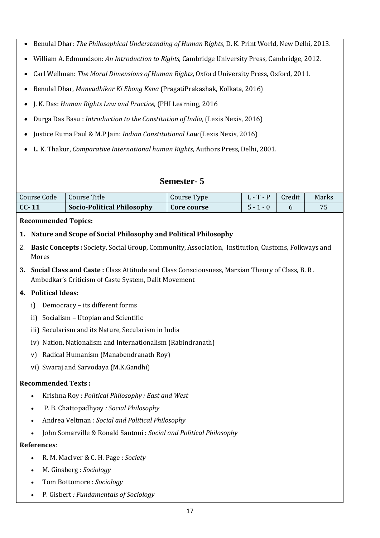- Benulal Dhar: *The Philosophical Understanding of Human* R*ights*, D. K. Print World, New Delhi, 2013.
- William A. Edmundson: *An Introduction to Rights*, Cambridge University Press, Cambridge, 2012.
- Carl Wellman: *The Moral Dimensions of Human Rights*, Oxford University Press, Oxford, 2011.
- Benulal Dhar, *Manvadhikar Ki Ebong Kena* (PragatiPrakashak, Kolkata, 2016)
- J. K. Das: *Human Rights Law and Practice*, (PHI Learning, 2016
- Durga Das Basu : *Introduction to the Constitution of India*, (Lexis Nexis, 2016)
- Justice Ruma Paul & M.P Jain: *Indian Constitutional Law* (Lexis Nexis, 2016)
- L. K. Thakur, *Comparative International human Rights*, Authors Press, Delhi, 2001.

## **Semester- 5**

| Course Code | Course Title                      | Course Type | $\mathbf{L} - \mathbf{T} - \mathbf{P}$ | Credit | Marks |
|-------------|-----------------------------------|-------------|----------------------------------------|--------|-------|
| $CC-11$     | <b>Socio-Political Philosophy</b> | Core course | $5 - 1 - 0$                            |        |       |

## **Recommended Topics:**

- **1. Nature and Scope of Social Philosophy and Political Philosophy**
- 2. **Basic Concepts :** Society, Social Group, Community, Association, Institution, Customs, Folkways and Mores
- **3. Social Class and Caste :** Class Attitude and Class Consciousness, Marxian Theory of Class, B. R . Ambedkar's Criticism of Caste System, Dalit Movement

## **4. Political Ideas:**

- i) Democracy its different forms
- ii) Socialism Utopian and Scientific
- iii) Secularism and its Nature, Secularism in India
- iv) Nation, Nationalism and Internationalism (Rabindranath)
- v) Radical Humanism (Manabendranath Roy)
- vi) Swaraj and Sarvodaya (M.K.Gandhi)

## **Recommended Texts :**

- Krishna Roy : *Political Philosophy : East and West*
- P. B. Chattopadhyay *: Social Philosophy*
- Andrea Veltman : *Social and Political Philosophy*
- John Somarville & Ronald Santoni : *Social and Political Philosophy*

## **References**:

- R. M. MacIver & C. H. Page : *Society*
- M. Ginsberg : *Sociology*
- Tom Bottomore : *Sociology*
- P. Gisbert *: Fundamentals of Sociology*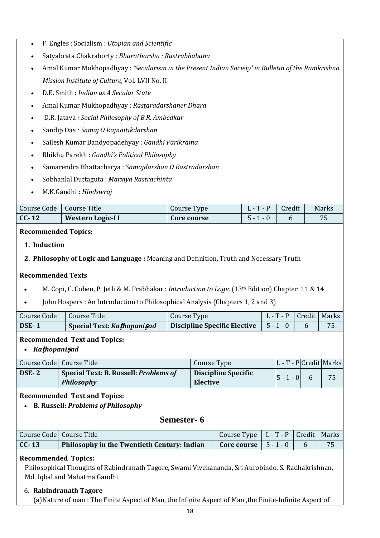- F. Engles : Socialism : *Utopian and Scientific*
- Satyabrata Chakraborty : *Bharatbarsha : Rastrabhabana*
- Amal Kumar Mukhopadhyay : *'Secularism in the Present Indian Society' in Bulletin of the Ramkrishna Mission Institute of Culture,* Vol. LVII No. II
- D.E. Smith : *Indian as A Secular State*
- Amal Kumar Mukhopadhyay : *Rastgradarshaner Dhara*
- D.R. Jatava *: Social Philosophy of B.R. Ambedkar*
- Sandip Das *: Samaj O Rajnaitikdarshan*
- Sailesh Kumar Bandyopadehyay : *Gandhi Parikrama*
- Bhikhu Parekh : *Gandhi's Political Philosophy*
- Samarendra Bhattacharya : *Samajdarshan O Rastradarshan*
- Sobhanlal Duttaguta : *Marxiya Rastrachinta*
- M.K.Gandhi : *Hindswraj*

| Course Code | Course Title      | Course Type | $\mathbf{1} \cdot \mathbf{1}$ | Credit | Marks |
|-------------|-------------------|-------------|-------------------------------|--------|-------|
| $CC-12$     | Western Logic-I I | Core course | 5 - I                         |        | 70    |

## **Recommended Topics:**

- **1. Induction**
- **2. Philosophy of Logic and Language :** Meaning and Definition, Truth and Necessary Truth

## **Recommended Texts**

- M. Copi, C. Cohen, P. Jetli & M. Prabhakar : *Introduction to Logic* (13th Edition) Chapter 11 & 14
- John Hospers : An Introduction to Philosophical Analysis (Chapters 1, 2 and 3)

| Course Code | Course Title               | Course Type | L - T - P   Credit   Marks |  |
|-------------|----------------------------|-------------|----------------------------|--|
| DSE-1       | Special Text: Kathopanisad |             |                            |  |

## **Recommended Text and Topics:**

• *Ka***ṭ***hopani***ṣ***ad*

|       | Course Code Course Title                            | Course Type                            | $ L - T - P $ Credit Marks |    |
|-------|-----------------------------------------------------|----------------------------------------|----------------------------|----|
| DSE-2 | Special Text: B. Russell: Problems of<br>Philosophy | <b>Discipline Specific</b><br>Elective | $ 5 - 1 - 0 $              | 75 |

## **Recommended Text and Topics:**

• **B. Russell:** *Problems of Philosophy*

## **Semester- 6**

|         | Course Code Course Title                                                                  | Course Type   L - T - P   Credit   Marks |  |    |
|---------|-------------------------------------------------------------------------------------------|------------------------------------------|--|----|
| $CC-13$ | Philosophy in the Twentieth Century: Indian $\vert$ Core course $\vert$ 5 - 1 - 0 $\vert$ |                                          |  | 75 |

## **Recommended Topics:**

Philosophical Thoughts of Rabindranath Tagore, Swami Vivekananda, Sri Aurobindo, S. Radhakrishnan, Md. Iqbal and Mahatma Gandhi

## 6. **Rabindranath Tagore**

(a)Nature of man : The Finite Aspect of Man, the Infinite Aspect of Man ,the Finite-Infinite Aspect of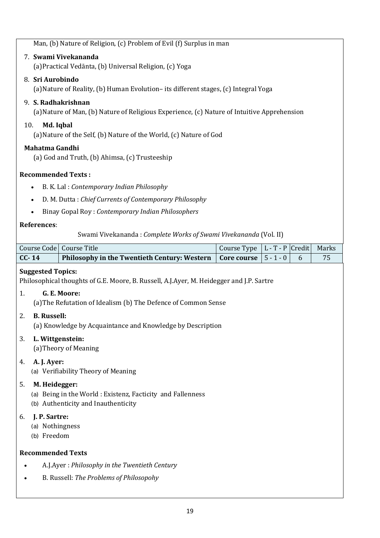Man, (b) Nature of Religion, (c) Problem of Evil (f) Surplus in man

## 7. **Swami Vivekananda**

(a)Practical Vedānta, (b) Universal Religion, (c) Yoga

## 8. **Sri Aurobindo**

(a)Nature of Reality, (b) Human Evolution– its different stages, (c) Integral Yoga

## 9. **S. Radhakrishnan**

(a)Nature of Man, (b) Nature of Religious Experience, (c) Nature of Intuitive Apprehension

## 10. **Md. Iqbal**

(a)Nature of the Self, (b) Nature of the World, (c) Nature of God

## **Mahatma Gandhi**

(a) God and Truth, (b) Ahimsa, (c) Trusteeship

## **Recommended Texts :**

- B. K. Lal : *Contemporary Indian Philosophy*
- D. M. Dutta : *Chief Currents of Contemporary Philosophy*
- Binay Gopal Roy : *Contemporary Indian Philosophers*

## **References**:

Swami Vivekananda : *Complete Works of Swami Vivekananda* (Vol. II)

|                                                                                                                          | Course Code   Course Title                                                                                           | Course Type | $ L - T - P $ Credit |   | Marks |  |
|--------------------------------------------------------------------------------------------------------------------------|----------------------------------------------------------------------------------------------------------------------|-------------|----------------------|---|-------|--|
| $CC-14$                                                                                                                  | Philosophy in the Twentieth Century: Western                                                                         | Core course | $5 - 1 - 0$          | 6 | 75    |  |
|                                                                                                                          | <b>Suggested Topics:</b><br>Philosophical thoughts of G.E. Moore, B. Russell, A.J.Ayer, M. Heidegger and J.P. Sartre |             |                      |   |       |  |
| 1.                                                                                                                       | G. E. Moore:<br>(a) The Refutation of Idealism (b) The Defence of Common Sense                                       |             |                      |   |       |  |
| <b>B.</b> Russell:<br>2.                                                                                                 | (a) Knowledge by Acquaintance and Knowledge by Description                                                           |             |                      |   |       |  |
| L. Wittgenstein:<br>3.                                                                                                   | (a) Theory of Meaning                                                                                                |             |                      |   |       |  |
| 4.                                                                                                                       | A. J. Ayer:<br>(a) Verifiability Theory of Meaning                                                                   |             |                      |   |       |  |
| M. Heidegger:<br>5.<br>(a) Being in the World: Existenz, Facticity and Fallenness<br>(b) Authenticity and Inauthenticity |                                                                                                                      |             |                      |   |       |  |
| J. P. Sartre:<br>6.<br>(a) Nothingness<br>(b) Freedom                                                                    |                                                                                                                      |             |                      |   |       |  |
| <b>Recommended Texts</b>                                                                                                 |                                                                                                                      |             |                      |   |       |  |
|                                                                                                                          | A.J.Ayer: Philosophy in the Twentieth Century                                                                        |             |                      |   |       |  |
|                                                                                                                          | B. Russell: The Problems of Philosopohy                                                                              |             |                      |   |       |  |
|                                                                                                                          |                                                                                                                      |             |                      |   |       |  |